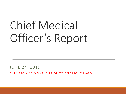# Chief Medical Officer's Report

JUNE 24, 2019 DATA FROM 12 MONTHS PRIOR TO ONE MONTH AGO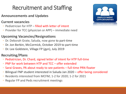# Recruitment and Staffing

### **Announcements and Updates**

- **Current vacancies**
- Pediatrician for HTP filled with letter of intent
- Provider for TCC (physician or APP) immediate need

#### **Upcoming Vacancies/Resignations**

- Dr. Deborah Grate, Saluda, now gone to part-time
- Dr. Jon Berbin, McCormick, October 2019 to part-time
- Dr. Lee Goldstein, Village FP (gyn), July 2019

#### **Recruiting/Plans**

- Pediatrician, Dr. Chard, signed letter of intent for HTP full-time
- PNP for work between HTP and TCC offer extended
- Sarai Graves, PA about ready to see patients full-time PRN floater
- Bilingual FNP student interested in Saluda Jan 2020 offer being considered
- Residents interested from MCFM; 1-2 for 2020; 1-2 for 2021
- Regular FP and Peds recruitment meetings

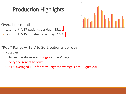# Production Highlights

Overall for month

◦ Last month's FP patients per day: 15.1

◦ Last month's Peds patients per day: 16.4



"Real" Range – 12.7 to 20.1 patients per day

◦ Notables

◦ Highest producer was Bridges at the Village

- Everyone generally down
- PFHC averaged 14.7 for May– highest average since August 2015!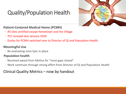# Quality/Population Health



### **Patient-Centered Medical Home (PCMH)**

- All sites certified except Hometown and the Village
- TCC renewal due January 2020
- Duties for PCMH switched over to Director of QI and Population Health

### **Meaningful Use**

◦ Re-evaluating once Epic in place

#### **Population health**

- Received award from Molina for "most gaps closed"
- Work continues through strong effort from Director of QI and Population Health

## Clinical Quality Metrics – now by handout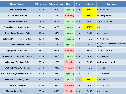| <b>Clinical Measure</b>                   | Where we are | Where we were | <b>Change</b>    | Goal | <b>At Goal?</b> | <b>Comment</b>                                      |
|-------------------------------------------|--------------|---------------|------------------|------|-----------------|-----------------------------------------------------|
| <b>Controlled Diabetes</b>                | 70.2%        | 70.2%         | Improving        | 60%  | <b>TRUE</b>     | <b>Practically flat</b>                             |
| <b>Uncontrolled Diabetes</b>              | 20.8%        | 21.0%         | Worsening        | 20%  | <b>TRUE</b>     | Improving nicely                                    |
| <b>Hypertension Control</b>               | 57.1%        | 56.7%         | Improving        | 60%  | <b>FALSE</b>    | Nice improvement                                    |
| <b>Cervical Cancer Screening Rate</b>     | 39.4%        | 38.9%         | Improving        | 35%  | <b>TRUE</b>     | Mild increase                                       |
| <b>Breast Cancer Screening Rate</b>       | 55.8%        | 55.2%         | Improving        | 60%  | <b>FALSE</b>    | Mild increase                                       |
| <b>Colorectal Cancer Screening Rate</b>   | 43.5%        | 43.5%         | Improving        | 47%  | <b>FALSE</b>    | Practically flat                                    |
| 2 Year Old Vaccination Rates              | 22.4%        | 21.1%         | Improving        | 30%  | <b>FALSE</b>    | Another "big" increase, still same<br><i>issues</i> |
| <b>Appropriate Asthma Meds</b>            | 58.7%        | 60.0%         | Worsening        | 80%  | <b>FALSE</b>    | Moderate decrease                                   |
| <b>CAD Patients on Anti-Lipid Therapy</b> | 75.5%        | 75.4%         | Improving        | 80%  | <b>FALSE</b>    | Slight increase                                     |
| <b>Adolescent Well-Care Visits</b>        | 36.1%        | 41.9%         | Worsening        | 50%  | <b>FALSE</b>    | Big drop - not sure why                             |
| Well-Child Visits, Age 3-6 yrs            | 57.5%        | 57.8%         | Worsening        | 60%  | <b>FALSE</b>    | Slight decrease                                     |
| Well-Child Visits, 6 before 15 months     | 48.7%        | 48.5%         | Improving        | 55%  | <b>FALSE</b>    | Slight increase                                     |
| <b>Depression Screening Rates</b>         | 46.8%        | 46.8%         | Improving        | 30%  | <b>TRUE</b>     | Practically flat                                    |
| <b>Diabetic Eye Exams</b>                 | 20.6%        | 20.8%         | Worsening        | 30%  | <b>FALSE</b>    | Slight decrease                                     |
| <b>Diabetic Kidney Screening</b>          | 63.6%        | 64.2%         | <b>Worsening</b> | 80%  | <b>FALSE</b>    | Mild decrease                                       |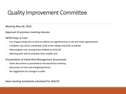# Quality Improvement Committee

**Meeting May 28, 2019**

**Approval of previous meeting minutes**

#### **HEDIS Gaps in Care**

- **List of gaps being sent to sites to address at appointment or call and make appointment**
- **2 diabetic eye clinics scheduled: 6/18 at the Village and 6/25 at Saluda**
- **Mammogram van coming from AnMed on 6/12/19**
- **Working with Self to schedule their mobile unit**

**Presentation of Initial Risk Management Assessment**

- **Same document as presented to the board last meeting**
- **Discussion of risks and mitigating factors**
- **No suggestions for changes or edits**

**Next meeting tentatively scheduled for 8/6/19**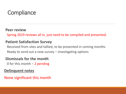# **Compliance**

### **Peer review**

Spring 2019 reviews all in, just need to be compiled and presented.

### **Patient Satisfaction Survey**

Received from sites and tallied, to be presented in coming months Ready to send out a new survey – investigating options

## **Dismissals for the month**

0 for this month  $-2$  pending

### **Delinquent notes**

None significant this month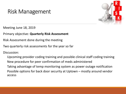# Risk Management



Meeting June 18, 2019

Primary objective: **Quarterly Risk Assessment**

Risk Assessment done during the meeting

Two quarterly risk assessments for the year so far

Discussion:

Upcoming provider coding training and possible clinical staff coding training New procedure for peer confirmation of meds administered Taking advantage of temp monitoring system as power outage notification Possible options for back door security at Uptown – mostly around vendor access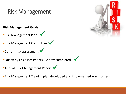

Risk Management Training plan developed and implemented – in progress